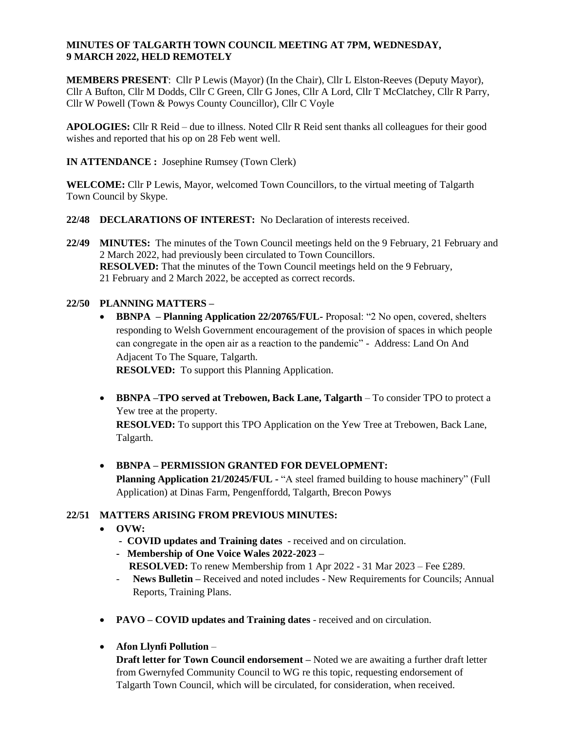#### **MINUTES OF TALGARTH TOWN COUNCIL MEETING AT 7PM, WEDNESDAY, 9 MARCH 2022, HELD REMOTELY**

**MEMBERS PRESENT**: Cllr P Lewis (Mayor) (In the Chair), Cllr L Elston-Reeves (Deputy Mayor), Cllr A Bufton, Cllr M Dodds, Cllr C Green, Cllr G Jones, Cllr A Lord, Cllr T McClatchey, Cllr R Parry, Cllr W Powell (Town & Powys County Councillor), Cllr C Voyle

**APOLOGIES:** Cllr R Reid – due to illness. Noted Cllr R Reid sent thanks all colleagues for their good wishes and reported that his op on 28 Feb went well.

**IN ATTENDANCE :** Josephine Rumsey (Town Clerk)

**WELCOME:** Cllr P Lewis, Mayor, welcomed Town Councillors, to the virtual meeting of Talgarth Town Council by Skype.

- **22/48 DECLARATIONS OF INTEREST:** No Declaration of interests received.
- **22/49 MINUTES:** The minutes of the Town Council meetings held on the 9 February, 21 February and 2 March 2022, had previously been circulated to Town Councillors. **RESOLVED:** That the minutes of the Town Council meetings held on the 9 February, 21 February and 2 March 2022, be accepted as correct records.

#### **22/50 PLANNING MATTERS –**

• **BBNPA** – **Planning Application 22/20765/FUL**-Proposal: "2 No open, covered, shelters responding to Welsh Government encouragement of the provision of spaces in which people can congregate in the open air as a reaction to the pandemic" - Address: Land On And Adjacent To The Square, Talgarth.

**RESOLVED:** To support this Planning Application.

 **BBNPA –TPO served at Trebowen, Back Lane, Talgarth** – To consider TPO to protect a Yew tree at the property.

**RESOLVED:** To support this TPO Application on the Yew Tree at Trebowen, Back Lane, Talgarth.

# **BBNPA – PERMISSION GRANTED FOR DEVELOPMENT:**

**Planning Application 21/20245/FUL - "A steel framed building to house machinery" (Full** Application) at Dinas Farm, Pengenffordd, Talgarth, Brecon Powys

#### **22/51 MATTERS ARISING FROM PREVIOUS MINUTES:**

- **OVW:**
	- **COVID updates and Training dates** received and on circulation.
	- **Membership of One Voice Wales 2022-2023 – RESOLVED:** To renew Membership from 1 Apr 2022 - 31 Mar 2023 – Fee £289.
	- **News Bulletin –** Received and noted includes New Requirements for Councils; Annual Reports, Training Plans.
- **PAVO COVID** updates and **Training dates** received and on circulation.
- **Afon Llynfi Pollution** –

**Draft letter for Town Council endorsement –** Noted we are awaiting a further draft letter from Gwernyfed Community Council to WG re this topic, requesting endorsement of Talgarth Town Council, which will be circulated, for consideration, when received.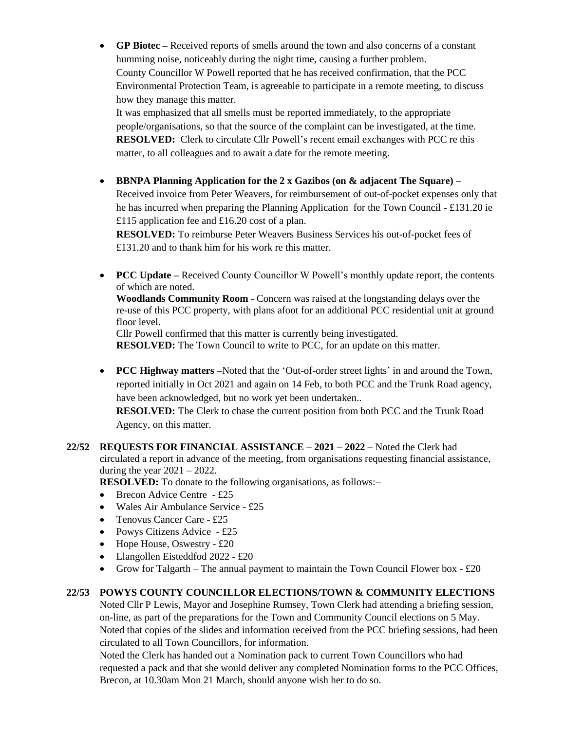**GP Biotec –** Received reports of smells around the town and also concerns of a constant humming noise, noticeably during the night time, causing a further problem. County Councillor W Powell reported that he has received confirmation, that the PCC Environmental Protection Team, is agreeable to participate in a remote meeting, to discuss how they manage this matter. It was emphasized that all smells must be reported immediately, to the appropriate

people/organisations, so that the source of the complaint can be investigated, at the time. **RESOLVED:** Clerk to circulate Cllr Powell's recent email exchanges with PCC re this matter, to all colleagues and to await a date for the remote meeting.

 **BBNPA Planning Application for the 2 x Gazibos (on & adjacent The Square) –** Received invoice from Peter Weavers, for reimbursement of out-of-pocket expenses only that he has incurred when preparing the Planning Application for the Town Council - £131.20 ie £115 application fee and £16.20 cost of a plan.

**RESOLVED:** To reimburse Peter Weavers Business Services his out-of-pocket fees of £131.20 and to thank him for his work re this matter.

**PCC Update –** Received County Councillor W Powell's monthly update report, the contents of which are noted.

**Woodlands Community Room** - Concern was raised at the longstanding delays over the re-use of this PCC property, with plans afoot for an additional PCC residential unit at ground floor level.

Cllr Powell confirmed that this matter is currently being investigated. **RESOLVED:** The Town Council to write to PCC, for an update on this matter.

**PCC Highway matters** –Noted that the 'Out-of-order street lights' in and around the Town, reported initially in Oct 2021 and again on 14 Feb, to both PCC and the Trunk Road agency, have been acknowledged, but no work yet been undertaken..

**RESOLVED:** The Clerk to chase the current position from both PCC and the Trunk Road Agency, on this matter.

**22/52 REQUESTS FOR FINANCIAL ASSISTANCE – 2021 – 2022 –** Noted the Clerk had circulated a report in advance of the meeting, from organisations requesting financial assistance, during the year  $2021 - 2022$ .

**RESOLVED:** To donate to the following organisations, as follows:–

- $\bullet$  Brecon Advice Centre £25
- Wales Air Ambulance Service £25
- Tenovus Cancer Care £25
- Powys Citizens Advice £25
- $\bullet$  Hope House, Oswestry £20
- Llangollen Eisteddfod 2022 £20
- Grow for Talgarth The annual payment to maintain the Town Council Flower box £20

# **22/53 POWYS COUNTY COUNCILLOR ELECTIONS/TOWN & COMMUNITY ELECTIONS**

Noted Cllr P Lewis, Mayor and Josephine Rumsey, Town Clerk had attending a briefing session, on-line, as part of the preparations for the Town and Community Council elections on 5 May. Noted that copies of the slides and information received from the PCC briefing sessions, had been circulated to all Town Councillors, for information.

Noted the Clerk has handed out a Nomination pack to current Town Councillors who had requested a pack and that she would deliver any completed Nomination forms to the PCC Offices, Brecon, at 10.30am Mon 21 March, should anyone wish her to do so.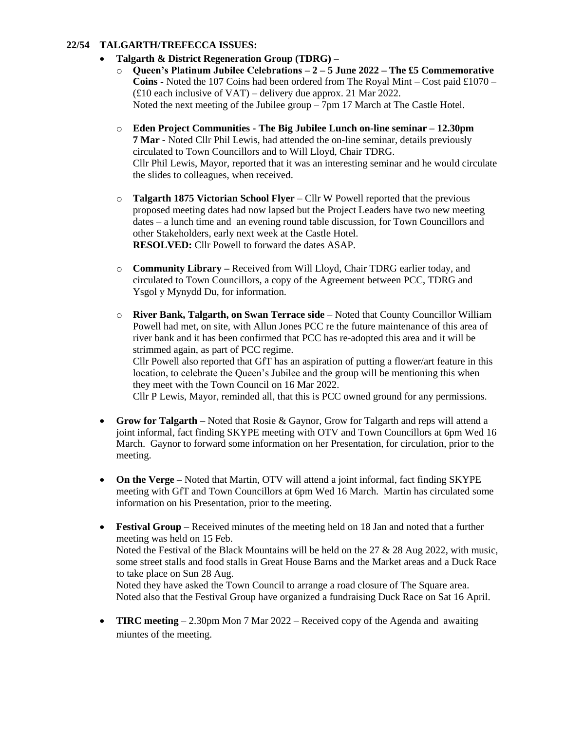# **22/54 TALGARTH/TREFECCA ISSUES:**

- **Talgarth & District Regeneration Group (TDRG) –**
	- o **Queen's Platinum Jubilee Celebrations – 2 – 5 June 2022 – The £5 Commemorative Coins -** Noted the 107 Coins had been ordered from The Royal Mint – Cost paid £1070 – (£10 each inclusive of VAT) – delivery due approx. 21 Mar 2022. Noted the next meeting of the Jubilee group – 7pm 17 March at The Castle Hotel.
	- o **Eden Project Communities - The Big Jubilee Lunch on-line seminar – 12.30pm 7 Mar -** Noted Cllr Phil Lewis, had attended the on-line seminar, details previously circulated to Town Councillors and to Will Lloyd, Chair TDRG. Cllr Phil Lewis, Mayor, reported that it was an interesting seminar and he would circulate the slides to colleagues, when received.
	- o **Talgarth 1875 Victorian School Flyer** Cllr W Powell reported that the previous proposed meeting dates had now lapsed but the Project Leaders have two new meeting dates – a lunch time and an evening round table discussion, for Town Councillors and other Stakeholders, early next week at the Castle Hotel. **RESOLVED:** Cllr Powell to forward the dates ASAP.
	- o **Community Library –** Received from Will Lloyd, Chair TDRG earlier today, and circulated to Town Councillors, a copy of the Agreement between PCC, TDRG and Ysgol y Mynydd Du, for information.
	- o **River Bank, Talgarth, on Swan Terrace side** Noted that County Councillor William Powell had met, on site, with Allun Jones PCC re the future maintenance of this area of river bank and it has been confirmed that PCC has re-adopted this area and it will be strimmed again, as part of PCC regime. Cllr Powell also reported that GfT has an aspiration of putting a flower/art feature in this location, to celebrate the Queen's Jubilee and the group will be mentioning this when they meet with the Town Council on 16 Mar 2022. Cllr P Lewis, Mayor, reminded all, that this is PCC owned ground for any permissions.
- **Grow for Talgarth –** Noted that Rosie & Gaynor, Grow for Talgarth and reps will attend a joint informal, fact finding SKYPE meeting with OTV and Town Councillors at 6pm Wed 16 March. Gaynor to forward some information on her Presentation, for circulation, prior to the meeting.
- **On the Verge –** Noted that Martin, OTV will attend a joint informal, fact finding SKYPE meeting with GfT and Town Councillors at 6pm Wed 16 March. Martin has circulated some information on his Presentation, prior to the meeting.
- **Festival Group –** Received minutes of the meeting held on 18 Jan and noted that a further meeting was held on 15 Feb. Noted the Festival of the Black Mountains will be held on the  $27 \& 28$  Aug 2022, with music, some street stalls and food stalls in Great House Barns and the Market areas and a Duck Race to take place on Sun 28 Aug. Noted they have asked the Town Council to arrange a road closure of The Square area. Noted also that the Festival Group have organized a fundraising Duck Race on Sat 16 April.
- **TIRC meeting** 2.30pm Mon 7 Mar 2022 Received copy of the Agenda and awaiting miuntes of the meeting.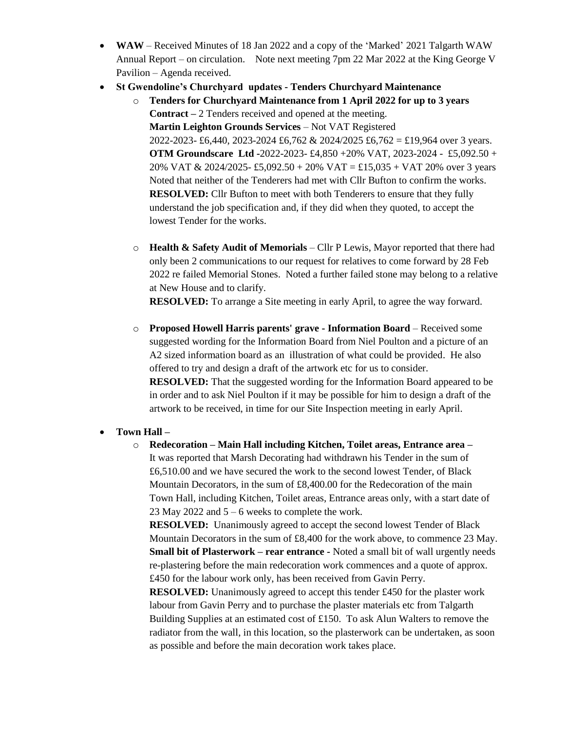- **WAW** Received Minutes of 18 Jan 2022 and a copy of the 'Marked' 2021 Talgarth WAW Annual Report – on circulation. Note next meeting 7pm 22 Mar 2022 at the King George V Pavilion – Agenda received.
- **St Gwendoline's Churchyard updates - Tenders Churchyard Maintenance**

o **Tenders for Churchyard Maintenance from 1 April 2022 for up to 3 years Contract –** 2 Tenders received and opened at the meeting. **Martin Leighton Grounds Services** – Not VAT Registered 2022-2023- £6,440, 2023-2024 £6,762 & 2024/2025 £6,762 = £19,964 over 3 years. **OTM Groundscare Ltd -**2022-2023- £4,850 +20% VAT, 2023-2024 - £5,092.50 + 20% VAT & 2024/2025- £5,092.50 + 20% VAT = £15,035 + VAT 20% over 3 years Noted that neither of the Tenderers had met with Cllr Bufton to confirm the works. **RESOLVED:** Cllr Bufton to meet with both Tenderers to ensure that they fully understand the job specification and, if they did when they quoted, to accept the lowest Tender for the works.

o **Health & Safety Audit of Memorials** – Cllr P Lewis, Mayor reported that there had only been 2 communications to our request for relatives to come forward by 28 Feb 2022 re failed Memorial Stones. Noted a further failed stone may belong to a relative at New House and to clarify.

**RESOLVED:** To arrange a Site meeting in early April, to agree the way forward.

o **Proposed Howell Harris parents' grave - Information Board** – Received some suggested wording for the Information Board from Niel Poulton and a picture of an A2 sized information board as an illustration of what could be provided. He also offered to try and design a draft of the artwork etc for us to consider. **RESOLVED:** That the suggested wording for the Information Board appeared to be in order and to ask Niel Poulton if it may be possible for him to design a draft of the artwork to be received, in time for our Site Inspection meeting in early April.

#### **Town Hall –**

o **Redecoration – Main Hall including Kitchen, Toilet areas, Entrance area –** It was reported that Marsh Decorating had withdrawn his Tender in the sum of £6,510.00 and we have secured the work to the second lowest Tender, of Black Mountain Decorators, in the sum of £8,400.00 for the Redecoration of the main Town Hall, including Kitchen, Toilet areas, Entrance areas only, with a start date of 23 May 2022 and  $5 - 6$  weeks to complete the work.

**RESOLVED:** Unanimously agreed to accept the second lowest Tender of Black Mountain Decorators in the sum of £8,400 for the work above, to commence 23 May. **Small bit of Plasterwork – rear entrance -** Noted a small bit of wall urgently needs re-plastering before the main redecoration work commences and a quote of approx. £450 for the labour work only, has been received from Gavin Perry.

**RESOLVED:** Unanimously agreed to accept this tender £450 for the plaster work labour from Gavin Perry and to purchase the plaster materials etc from Talgarth Building Supplies at an estimated cost of £150. To ask Alun Walters to remove the radiator from the wall, in this location, so the plasterwork can be undertaken, as soon as possible and before the main decoration work takes place.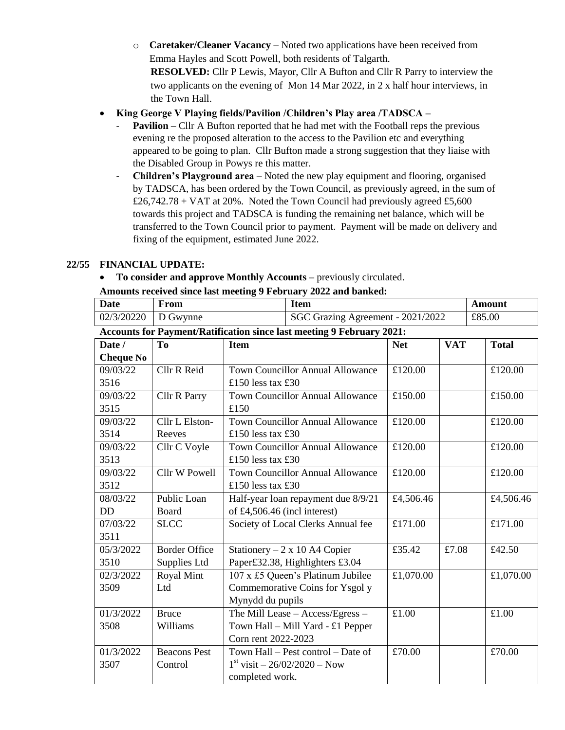- o **Caretaker/Cleaner Vacancy –** Noted two applications have been received from Emma Hayles and Scott Powell, both residents of Talgarth.  **RESOLVED:** Cllr P Lewis, Mayor, Cllr A Bufton and Cllr R Parry to interview the two applicants on the evening of Mon 14 Mar 2022, in 2 x half hour interviews, in the Town Hall.
- **King George V Playing fields/Pavilion /Children's Play area /TADSCA –**
	- **Pavilion** Cllr A Bufton reported that he had met with the Football reps the previous evening re the proposed alteration to the access to the Pavilion etc and everything appeared to be going to plan. Cllr Bufton made a strong suggestion that they liaise with the Disabled Group in Powys re this matter.
	- **Children's Playground area –** Noted the new play equipment and flooring, organised by TADSCA, has been ordered by the Town Council, as previously agreed, in the sum of £26,742.78 + VAT at 20%. Noted the Town Council had previously agreed £5,600 towards this project and TADSCA is funding the remaining net balance, which will be transferred to the Town Council prior to payment. Payment will be made on delivery and fixing of the equipment, estimated June 2022.

# **22/55 FINANCIAL UPDATE:**

**To consider and approve Monthly Accounts –** previously circulated.

| Amounts received since last meeting 9 February 2022 and banked: |  |  |  |  |  |
|-----------------------------------------------------------------|--|--|--|--|--|
|-----------------------------------------------------------------|--|--|--|--|--|

| <b>Date</b>           | From | ıtem                              | Amount |
|-----------------------|------|-----------------------------------|--------|
| $02/3/20220$ D Gwynne |      | SGC Grazing Agreement - 2021/2022 | £85.00 |
| ____                  |      | ----<br>___                       |        |

| <b>Accounts for Payment/Ratification since last meeting 9 February 2021:</b> |                      |                                         |            |            |              |  |  |  |
|------------------------------------------------------------------------------|----------------------|-----------------------------------------|------------|------------|--------------|--|--|--|
| Date /                                                                       | T <sub>0</sub>       | <b>Item</b>                             | <b>Net</b> | <b>VAT</b> | <b>Total</b> |  |  |  |
| <b>Cheque No</b>                                                             |                      |                                         |            |            |              |  |  |  |
| 09/03/22                                                                     | Cllr R Reid          | <b>Town Councillor Annual Allowance</b> | £120.00    |            | £120.00      |  |  |  |
| 3516                                                                         |                      | £150 less tax £30                       |            |            |              |  |  |  |
| 09/03/22                                                                     | Cllr R Parry         | <b>Town Councillor Annual Allowance</b> | £150.00    |            | £150.00      |  |  |  |
| 3515                                                                         |                      | £150                                    |            |            |              |  |  |  |
| 09/03/22                                                                     | Cllr L Elston-       | <b>Town Councillor Annual Allowance</b> | £120.00    |            | £120.00      |  |  |  |
| 3514                                                                         | Reeves               | £150 less tax £30                       |            |            |              |  |  |  |
| 09/03/22                                                                     | Cllr C Voyle         | <b>Town Councillor Annual Allowance</b> | £120.00    |            | £120.00      |  |  |  |
| 3513                                                                         |                      | £150 less tax £30                       |            |            |              |  |  |  |
| 09/03/22                                                                     | Cllr W Powell        | <b>Town Councillor Annual Allowance</b> | £120.00    |            | £120.00      |  |  |  |
| 3512                                                                         |                      | £150 less tax £30                       |            |            |              |  |  |  |
| 08/03/22                                                                     | Public Loan          | Half-year loan repayment due 8/9/21     | £4,506.46  |            | £4,506.46    |  |  |  |
| <b>DD</b>                                                                    | Board                | of $£4,506.46$ (incl interest)          |            |            |              |  |  |  |
| 07/03/22                                                                     | <b>SLCC</b>          | Society of Local Clerks Annual fee      | £171.00    |            | £171.00      |  |  |  |
| 3511                                                                         |                      |                                         |            |            |              |  |  |  |
| 05/3/2022                                                                    | <b>Border Office</b> | Stationery $-2 \times 10$ A4 Copier     | £35.42     | £7.08      | £42.50       |  |  |  |
| 3510                                                                         | Supplies Ltd         | Paper£32.38, Highlighters £3.04         |            |            |              |  |  |  |
| 02/3/2022                                                                    | Royal Mint           | 107 x £5 Queen's Platinum Jubilee       | £1,070.00  |            | £1,070.00    |  |  |  |
| 3509                                                                         | Ltd                  | Commemorative Coins for Ysgol y         |            |            |              |  |  |  |
|                                                                              |                      | Mynydd du pupils                        |            |            |              |  |  |  |
| 01/3/2022                                                                    | <b>Bruce</b>         | The Mill Lease - Access/Egress -        | £1.00      |            | £1.00        |  |  |  |
| 3508                                                                         | Williams             | Town Hall - Mill Yard - £1 Pepper       |            |            |              |  |  |  |
|                                                                              |                      | Corn rent 2022-2023                     |            |            |              |  |  |  |
| 01/3/2022                                                                    | <b>Beacons</b> Pest  | Town Hall – Pest control – Date of      | £70.00     |            | £70.00       |  |  |  |
| 3507                                                                         | Control              | $1st$ visit – 26/02/2020 – Now          |            |            |              |  |  |  |
|                                                                              |                      | completed work.                         |            |            |              |  |  |  |